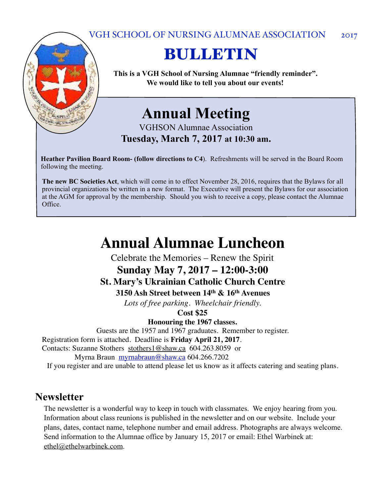#### VGH SCHOOL OF NURSING ALUMNAE ASSOCIATION 2017



# BULLETIN

**This is a VGH School of Nursing Alumnae "friendly reminder". We would like to tell you about our events!**

## **Annual Meeting**

VGHSON Alumnae Association **Tuesday, March 7, 2017 at 10:30 am.** 

**Heather Pavilion Board Room- (follow directions to C4**). Refreshments will be served in the Board Room following the meeting.

**The new BC Societies Act**, which will come in to effect November 28, 2016, requires that the Bylaws for all provincial organizations be written in a new format. The Executive will present the Bylaws for our association at the AGM for approval by the membership. Should you wish to receive a copy, please contact the Alumnae Office.

## **Annual Alumnae Luncheon**

Celebrate the Memories – Renew the Spirit

## **Sunday May 7, 2017 – 12:00-3:00**

#### **St. Mary's Ukrainian Catholic Church Centre**

**3150 Ash Street between 14th & 16th Avenues**

*Lots of free parking. Wheelchair friendly.*

**Cost \$25**

**Honouring the 1967 classes.**

Guests are the 1957 and 1967 graduates. Remember to register.

Registration form is attached. Deadline is **Friday April 21, 2017**.

Contacts: Suzanne Stothers [stothers1@shaw.ca](mailto:stothers1@shaw.ca) 604.263.8059 or

Myrna Braun [myrnabraun@shaw.ca](mailto:myrnabraun@shaw.ca) 604.266.7202

If you register and are unable to attend please let us know as it affects catering and seating plans.

#### **Newsletter**

The newsletter is a wonderful way to keep in touch with classmates. We enjoy hearing from you. Information about class reunions is published in the newsletter and on our website. Include your plans, dates, contact name, telephone number and email address. Photographs are always welcome. Send information to the Alumnae office by January 15, 2017 or email: Ethel Warbinek at: [ethel@ethelwarbinek.com](mailto:ethel@ethelwarbinek.com).